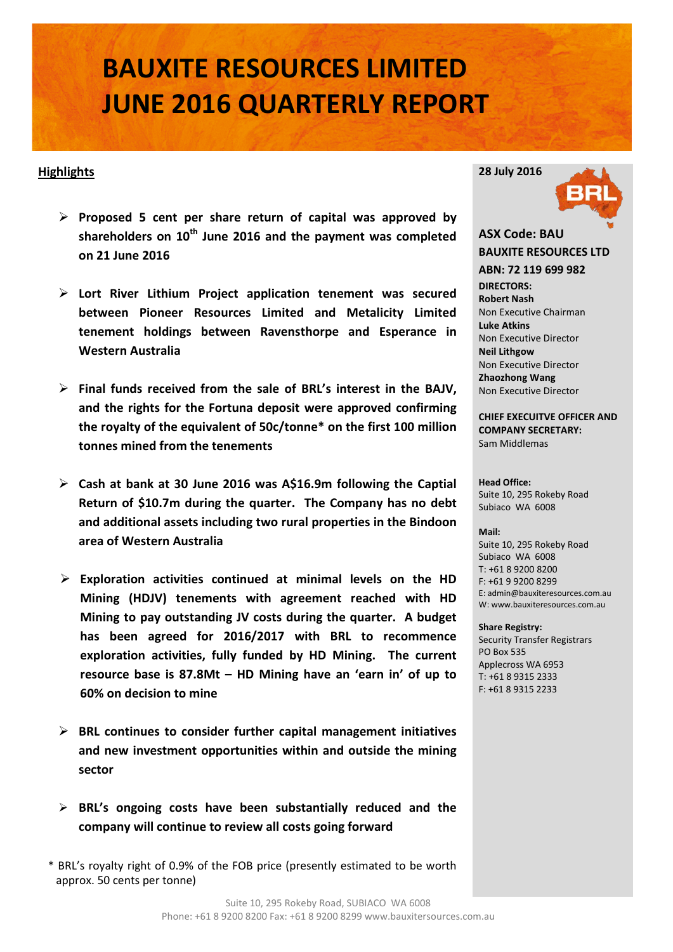# **BAUXITE RESOURCES LIMITED JUNE 2016 QUARTERLY REPORT**

#### **Highlights**

- **Proposed 5 cent per share return of capital was approved by shareholders on 10th June 2016 and the payment was completed on 21 June 2016**
- **Lort River Lithium Project application tenement was secured between Pioneer Resources Limited and Metalicity Limited tenement holdings between Ravensthorpe and Esperance in Western Australia**
- **Final funds received from the sale of BRL's interest in the BAJV, and the rights for the Fortuna deposit were approved confirming the royalty of the equivalent of 50c/tonne\* on the first 100 million tonnes mined from the tenements**
- **Cash at bank at 30 June 2016 was A\$16.9m following the Captial Return of \$10.7m during the quarter. The Company has no debt and additional assets including two rural properties in the Bindoon area of Western Australia**
- **Exploration activities continued at minimal levels on the HD Mining (HDJV) tenements with agreement reached with HD Mining to pay outstanding JV costs during the quarter. A budget has been agreed for 2016/2017 with BRL to recommence exploration activities, fully funded by HD Mining. The current resource base is 87.8Mt – HD Mining have an 'earn in' of up to 60% on decision to mine**
- **BRL continues to consider further capital management initiatives and new investment opportunities within and outside the mining sector**
- **BRL's ongoing costs have been substantially reduced and the company will continue to review all costs going forward**
- \* BRL's royalty right of 0.9% of the FOB price (presently estimated to be worth approx. 50 cents per tonne)



#### **ASX Code: BAU BAUXITE RESOURCES LTD ABN: 72 119 699 982 DIRECTORS: Robert Nash** Non Executive Chairman **Luke Atkins**  Non Executive Director **Neil Lithgow** Non Executive Director **Zhaozhong Wang** Non Executive Director

**CHIEF EXECUITVE OFFICER AND COMPANY SECRETARY:** Sam Middlemas

**Head Office:** Suite 10, 295 Rokeby Road Subiaco WA 6008

#### **Mail:**

Suite 10, 295 Rokeby Road Subiaco WA 6008 T: +61 8 9200 8200 F: +61 9 9200 8299 E: admin@bauxiteresources.com.au W: www.bauxiteresources.com.au

#### **Share Registry:**

Security Transfer Registrars PO Box 535 Applecross WA 6953 T: +61 8 9315 2333 F: +61 8 9315 2233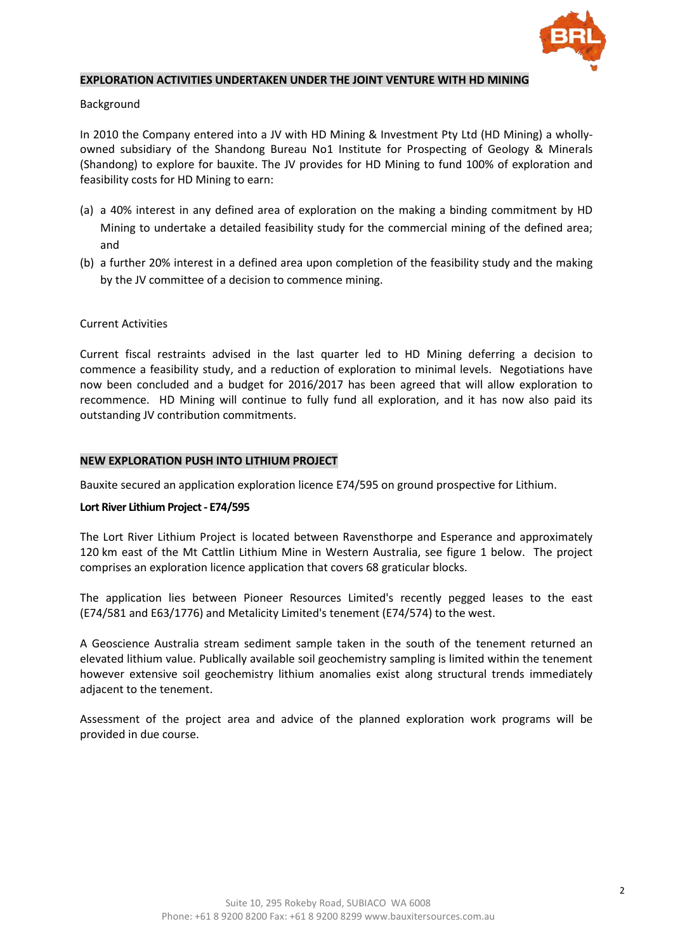

#### **EXPLORATION ACTIVITIES UNDERTAKEN UNDER THE JOINT VENTURE WITH HD MINING**

#### Background

In 2010 the Company entered into a JV with HD Mining & Investment Pty Ltd (HD Mining) a whollyowned subsidiary of the Shandong Bureau No1 Institute for Prospecting of Geology & Minerals (Shandong) to explore for bauxite. The JV provides for HD Mining to fund 100% of exploration and feasibility costs for HD Mining to earn:

- (a) a 40% interest in any defined area of exploration on the making a binding commitment by HD Mining to undertake a detailed feasibility study for the commercial mining of the defined area; and
- (b) a further 20% interest in a defined area upon completion of the feasibility study and the making by the JV committee of a decision to commence mining.

#### Current Activities

Current fiscal restraints advised in the last quarter led to HD Mining deferring a decision to commence a feasibility study, and a reduction of exploration to minimal levels. Negotiations have now been concluded and a budget for 2016/2017 has been agreed that will allow exploration to recommence. HD Mining will continue to fully fund all exploration, and it has now also paid its outstanding JV contribution commitments.

#### **NEW EXPLORATION PUSH INTO LITHIUM PROJECT**

Bauxite secured an application exploration licence E74/595 on ground prospective for Lithium.

#### **Lort River Lithium Project - E74/595**

The Lort River Lithium Project is located between Ravensthorpe and Esperance and approximately 120 km east of the Mt Cattlin Lithium Mine in Western Australia, see figure 1 below. The project comprises an exploration licence application that covers 68 graticular blocks.

The application lies between Pioneer Resources Limited's recently pegged leases to the east (E74/581 and E63/1776) and Metalicity Limited's tenement (E74/574) to the west.

A Geoscience Australia stream sediment sample taken in the south of the tenement returned an elevated lithium value. Publically available soil geochemistry sampling is limited within the tenement however extensive soil geochemistry lithium anomalies exist along structural trends immediately adjacent to the tenement.

Assessment of the project area and advice of the planned exploration work programs will be provided in due course.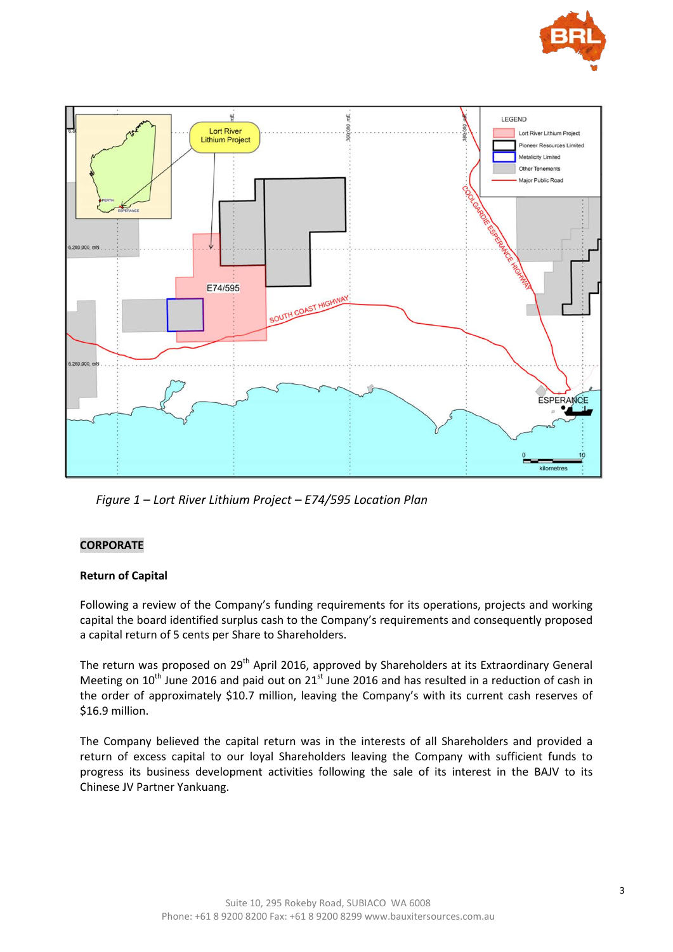



*Figure 1 – Lort River Lithium Project – E74/595 Location Plan*

#### **CORPORATE**

#### **Return of Capital**

Following a review of the Company's funding requirements for its operations, projects and working capital the board identified surplus cash to the Company's requirements and consequently proposed a capital return of 5 cents per Share to Shareholders.

The return was proposed on 29<sup>th</sup> April 2016, approved by Shareholders at its Extraordinary General Meeting on  $10^{th}$  June 2016 and paid out on  $21^{st}$  June 2016 and has resulted in a reduction of cash in the order of approximately \$10.7 million, leaving the Company's with its current cash reserves of \$16.9 million.

The Company believed the capital return was in the interests of all Shareholders and provided a return of excess capital to our loyal Shareholders leaving the Company with sufficient funds to progress its business development activities following the sale of its interest in the BAJV to its Chinese JV Partner Yankuang.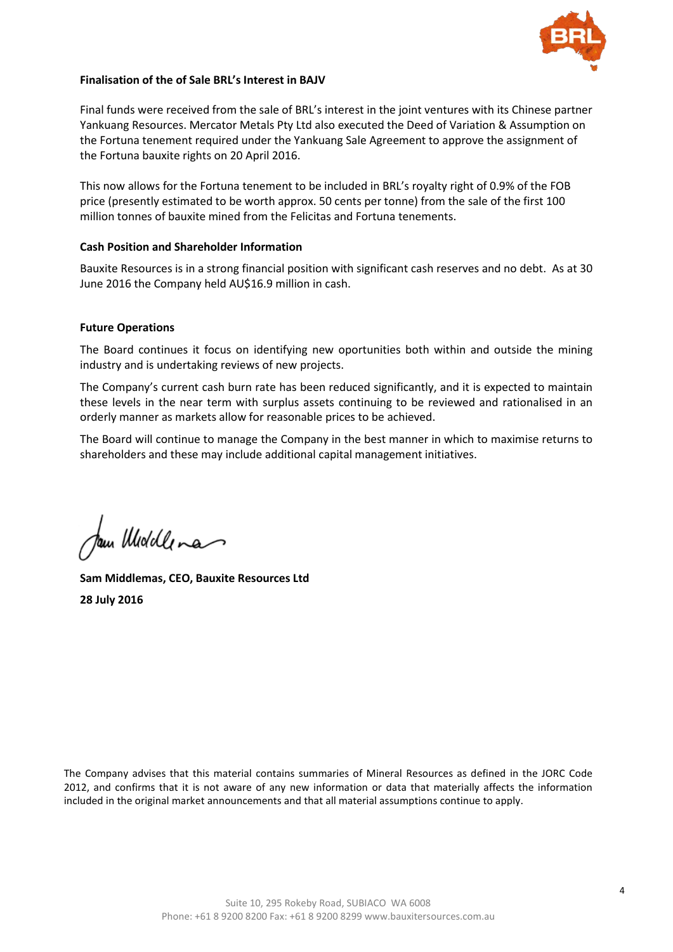

#### **Finalisation of the of Sale BRL's Interest in BAJV**

Final funds were received from the sale of BRL's interest in the joint ventures with its Chinese partner Yankuang Resources. Mercator Metals Pty Ltd also executed the Deed of Variation & Assumption on the Fortuna tenement required under the Yankuang Sale Agreement to approve the assignment of the Fortuna bauxite rights on 20 April 2016.

This now allows for the Fortuna tenement to be included in BRL's royalty right of 0.9% of the FOB price (presently estimated to be worth approx. 50 cents per tonne) from the sale of the first 100 million tonnes of bauxite mined from the Felicitas and Fortuna tenements.

#### **Cash Position and Shareholder Information**

Bauxite Resources is in a strong financial position with significant cash reserves and no debt. As at 30 June 2016 the Company held AU\$16.9 million in cash.

#### **Future Operations**

The Board continues it focus on identifying new oportunities both within and outside the mining industry and is undertaking reviews of new projects.

The Company's current cash burn rate has been reduced significantly, and it is expected to maintain these levels in the near term with surplus assets continuing to be reviewed and rationalised in an orderly manner as markets allow for reasonable prices to be achieved.

The Board will continue to manage the Company in the best manner in which to maximise returns to shareholders and these may include additional capital management initiatives.

am Woodlena

**Sam Middlemas, CEO, Bauxite Resources Ltd 28 July 2016**

The Company advises that this material contains summaries of Mineral Resources as defined in the JORC Code 2012, and confirms that it is not aware of any new information or data that materially affects the information included in the original market announcements and that all material assumptions continue to apply.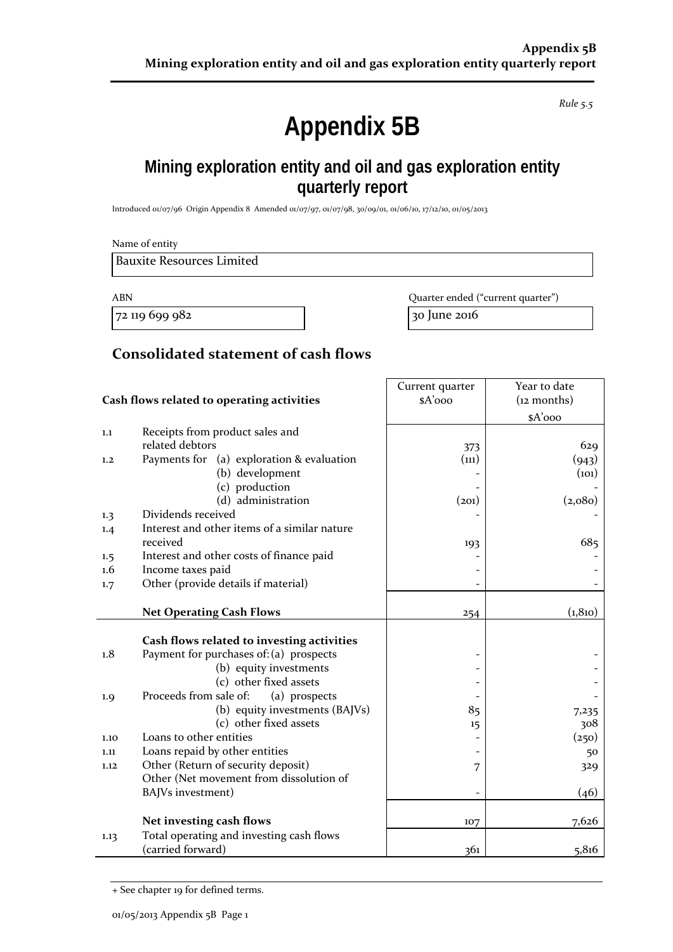*Rule 5.5*

# **Appendix 5B**

## **Mining exploration entity and oil and gas exploration entity quarterly report**

Introduced 01/07/96 Origin Appendix 8 Amended 01/07/97, 01/07/98, 30/09/01, 01/06/10, 17/12/10, 01/05/2013

|            | Name of entity                                               |                                   |                        |
|------------|--------------------------------------------------------------|-----------------------------------|------------------------|
|            | <b>Bauxite Resources Limited</b>                             |                                   |                        |
| <b>ABN</b> |                                                              | Quarter ended ("current quarter") |                        |
|            | 72 119 699 982                                               | 30 June 2016                      |                        |
|            | Consolidated statement of cash flows                         |                                   |                        |
|            |                                                              | Current quarter                   | Year to date           |
|            | Cash flows related to operating activities                   | \$A'ooo                           | (i2 months)<br>\$A'ooo |
| 1.1        | Receipts from product sales and                              |                                   |                        |
|            | related debtors                                              | 373                               | 629                    |
| 1,2        | Payments for (a) exploration & evaluation<br>(b) development | (n1)                              | (943)<br>(101)         |
|            | (c) production                                               |                                   |                        |
|            | (d) administration                                           | (201)                             | (2,080)                |
| 1.3        | Dividends received                                           |                                   |                        |
| 1.4        | Interest and other items of a similar nature                 |                                   |                        |
|            | received                                                     | 193                               | 685                    |
| $1.5\,$    | Interest and other costs of finance paid                     |                                   |                        |
| 1.6        | Income taxes paid                                            |                                   |                        |
| 1.7        | Other (provide details if material)                          |                                   |                        |
|            | <b>Net Operating Cash Flows</b>                              | 254                               | (1, 810)               |
|            | Cash flows related to investing activities                   |                                   |                        |
| 1.8        | Payment for purchases of: (a) prospects                      |                                   |                        |
|            | (b) equity investments                                       |                                   |                        |
|            | (c) other fixed assets                                       |                                   |                        |
| 1.9        | Proceeds from sale of:<br>(a) prospects                      |                                   |                        |
|            | (b) equity investments (BAJVs)<br>(c) other fixed assets     | 85                                | 7,235<br>308           |
| 1.10       | Loans to other entities                                      | 15                                | (250)                  |
| 1.11       | Loans repaid by other entities                               |                                   | 50                     |
| 1.12       | Other (Return of security deposit)                           | 7                                 | 329                    |
|            | Other (Net movement from dissolution of                      |                                   |                        |
|            | BAJVs investment)                                            |                                   | (46)                   |
|            | Net investing cash flows                                     | 107                               | 7,626                  |
| 1.13       | Total operating and investing cash flows                     |                                   |                        |
|            | (carried forward)                                            | 361                               | 5,816                  |

<sup>+</sup> See chapter 19 for defined terms.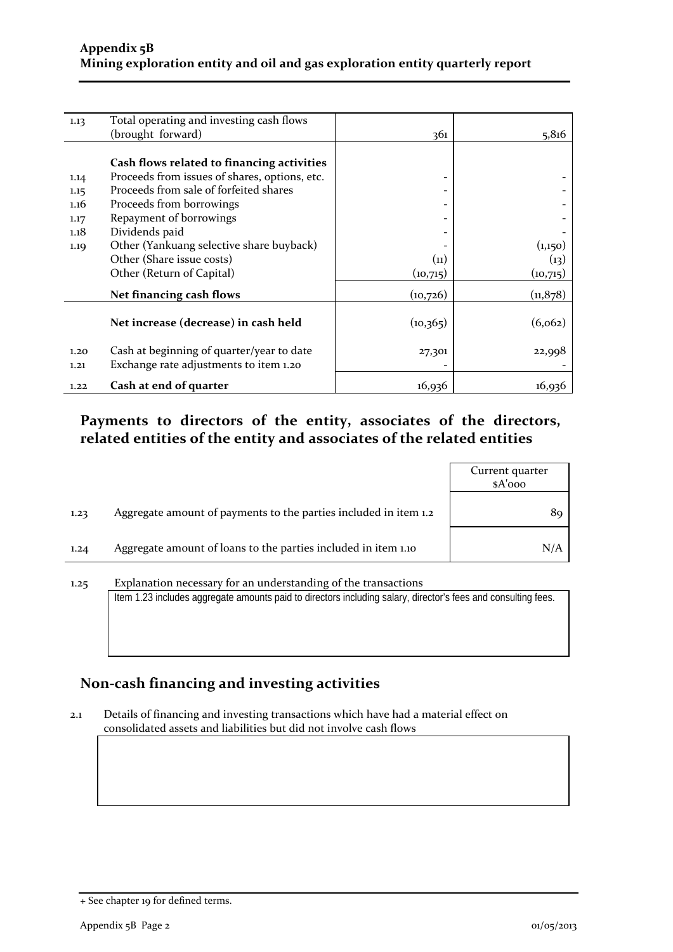| 1.13 | Total operating and investing cash flows      |           |           |
|------|-----------------------------------------------|-----------|-----------|
|      | (brought forward)                             | 361       | 5,816     |
|      |                                               |           |           |
|      | Cash flows related to financing activities    |           |           |
| 1.14 | Proceeds from issues of shares, options, etc. |           |           |
| 1.15 | Proceeds from sale of forfeited shares        |           |           |
| 1.16 | Proceeds from borrowings                      |           |           |
| 1.17 | Repayment of borrowings                       |           |           |
| 1.18 | Dividends paid                                |           |           |
| 1.19 | Other (Yankuang selective share buyback)      |           | (1,150)   |
|      | Other (Share issue costs)                     | (11)      | (13)      |
|      | Other (Return of Capital)                     | (10,715)  | (10,715)  |
|      | Net financing cash flows                      | (10,726)  | (11, 878) |
|      |                                               |           |           |
|      | Net increase (decrease) in cash held          | (10, 365) | (6, 062)  |
|      |                                               |           |           |
| 1.20 | Cash at beginning of quarter/year to date     | 27,301    | 22,998    |
| 1.21 | Exchange rate adjustments to item 1.20        |           |           |
| 1.22 | Cash at end of quarter                        | 16,936    | 16,936    |

## **Payments to directors of the entity, associates of the directors, related entities of the entity and associates of the related entities**

|      |                                                                  | Current quarter<br>$A'$ ooo |
|------|------------------------------------------------------------------|-----------------------------|
| 1.23 | Aggregate amount of payments to the parties included in item 1.2 | 89.                         |
| 1.24 | Aggregate amount of loans to the parties included in item 1.10   | N/A                         |

# 1.25 Explanation necessary for an understanding of the transactions Item 1.23 includes aggregate amounts paid to directors including salary, director's fees and consulting fees.

## **Non-cash financing and investing activities**

2.1 Details of financing and investing transactions which have had a material effect on consolidated assets and liabilities but did not involve cash flows

<sup>+</sup> See chapter 19 for defined terms.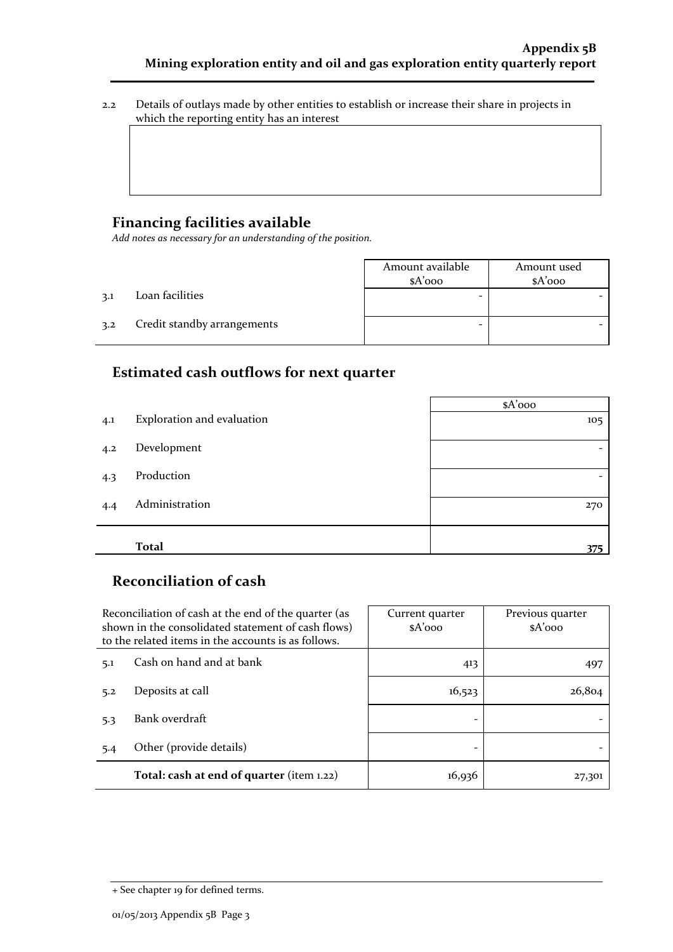2.2 Details of outlays made by other entities to establish or increase their share in projects in which the reporting entity has an interest

### **Financing facilities available**

*Add notes as necessary for an understanding of the position.*

|     |                             | Amount available<br>$A'$ 000 | Amount used<br>$A'$ 000 |
|-----|-----------------------------|------------------------------|-------------------------|
| 3.1 | Loan facilities             |                              |                         |
| 3.2 | Credit standby arrangements |                              |                         |

## **Estimated cash outflows for next quarter**

|     |                            | $A'$ ooo |
|-----|----------------------------|----------|
| 4.1 | Exploration and evaluation | 105      |
| 4.2 | Development                |          |
| 4.3 | Production                 |          |
| 4.4 | Administration             | 270      |
|     |                            |          |
|     | <b>Total</b>               | 375      |

### **Reconciliation of cash**

|                                 | Reconciliation of cash at the end of the quarter (as<br>shown in the consolidated statement of cash flows)<br>to the related items in the accounts is as follows. | Current quarter<br>$A'$ 000 | Previous quarter<br>$A'$ 000 |  |
|---------------------------------|-------------------------------------------------------------------------------------------------------------------------------------------------------------------|-----------------------------|------------------------------|--|
| Cash on hand and at bank<br>5.1 |                                                                                                                                                                   | 413                         | 497                          |  |
| 5.2                             | Deposits at call                                                                                                                                                  | 16,523                      | 26,804                       |  |
| 5.3                             | Bank overdraft                                                                                                                                                    |                             |                              |  |
| 5.4                             | Other (provide details)                                                                                                                                           |                             |                              |  |
|                                 | Total: cash at end of quarter (item 1.22)                                                                                                                         | 16,936                      | 27,301                       |  |

<sup>+</sup> See chapter 19 for defined terms.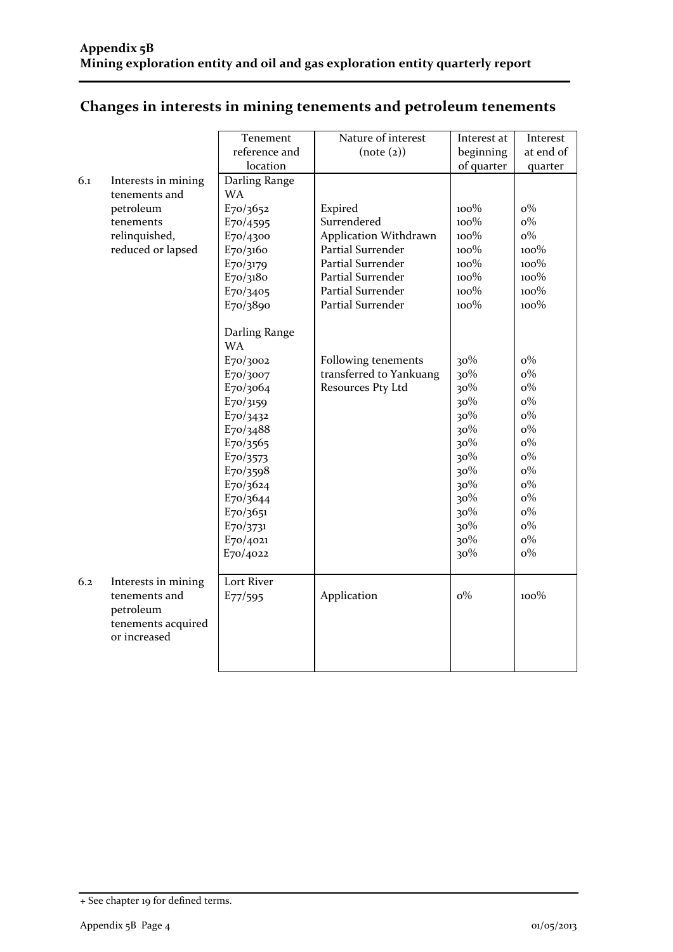|  | Changes in interests in mining tenements and petroleum tenements |  |
|--|------------------------------------------------------------------|--|
|  |                                                                  |  |

|     |                                                                                         | Tenement                                                                                                                                                                                                       | Nature of interest                                                  | Interest at                                                                                           | Interest                                                                                                                            |
|-----|-----------------------------------------------------------------------------------------|----------------------------------------------------------------------------------------------------------------------------------------------------------------------------------------------------------------|---------------------------------------------------------------------|-------------------------------------------------------------------------------------------------------|-------------------------------------------------------------------------------------------------------------------------------------|
|     |                                                                                         | reference and                                                                                                                                                                                                  | (note (2))                                                          | beginning                                                                                             | at end of                                                                                                                           |
|     |                                                                                         | location                                                                                                                                                                                                       |                                                                     | of quarter                                                                                            | quarter                                                                                                                             |
| 6.1 | Interests in mining<br>tenements and                                                    | Darling Range<br><b>WA</b>                                                                                                                                                                                     |                                                                     |                                                                                                       |                                                                                                                                     |
|     | petroleum                                                                               | E70/3652                                                                                                                                                                                                       | Expired                                                             | 100%                                                                                                  | $o\%$                                                                                                                               |
|     | tenements                                                                               | E70/4595                                                                                                                                                                                                       | Surrendered                                                         | $100\%$                                                                                               | $o\%$                                                                                                                               |
|     | relinquished,                                                                           | E70/4300                                                                                                                                                                                                       | Application Withdrawn                                               | 100%                                                                                                  | $0\%$                                                                                                                               |
|     | reduced or lapsed                                                                       | E70/3160                                                                                                                                                                                                       | <b>Partial Surrender</b>                                            | 100%                                                                                                  | 100%                                                                                                                                |
|     |                                                                                         | E70/3179                                                                                                                                                                                                       | <b>Partial Surrender</b>                                            | 100%                                                                                                  | 100%                                                                                                                                |
|     |                                                                                         | E70/3180                                                                                                                                                                                                       | Partial Surrender                                                   | 100%                                                                                                  | 100%                                                                                                                                |
|     |                                                                                         | E70/3405                                                                                                                                                                                                       | Partial Surrender                                                   | $100\%$                                                                                               | 100%                                                                                                                                |
|     |                                                                                         | E70/3890                                                                                                                                                                                                       | <b>Partial Surrender</b>                                            | $100\%$                                                                                               | 100%                                                                                                                                |
|     |                                                                                         | Darling Range<br><b>WA</b><br>E70/3002<br>E70/3007<br>E70/3064<br>E70/3159<br>E70/3432<br>E70/3488<br>E70/3565<br>E70/3573<br>E70/3598<br>E70/3624<br>E70/3644<br>E70/3651<br>E70/3731<br>E70/4021<br>E70/4022 | Following tenements<br>transferred to Yankuang<br>Resources Pty Ltd | 30%<br>30%<br>30%<br>30%<br>30%<br>30%<br>30%<br>30%<br>30%<br>30%<br>30%<br>30%<br>30%<br>30%<br>30% | $o\%$<br>$o\%$<br>$o\%$<br>$o\%$<br>$o\%$<br>$o\%$<br>$o\%$<br>$o\%$<br>$o\%$<br>$o\%$<br>$o\%$<br>$o\%$<br>$o\%$<br>$o\%$<br>$o\%$ |
| 6.2 | Interests in mining<br>tenements and<br>petroleum<br>tenements acquired<br>or increased | Lort River<br>E77/595                                                                                                                                                                                          | Application                                                         | $o\%$                                                                                                 | $100\%$                                                                                                                             |

<sup>+</sup> See chapter 19 for defined terms.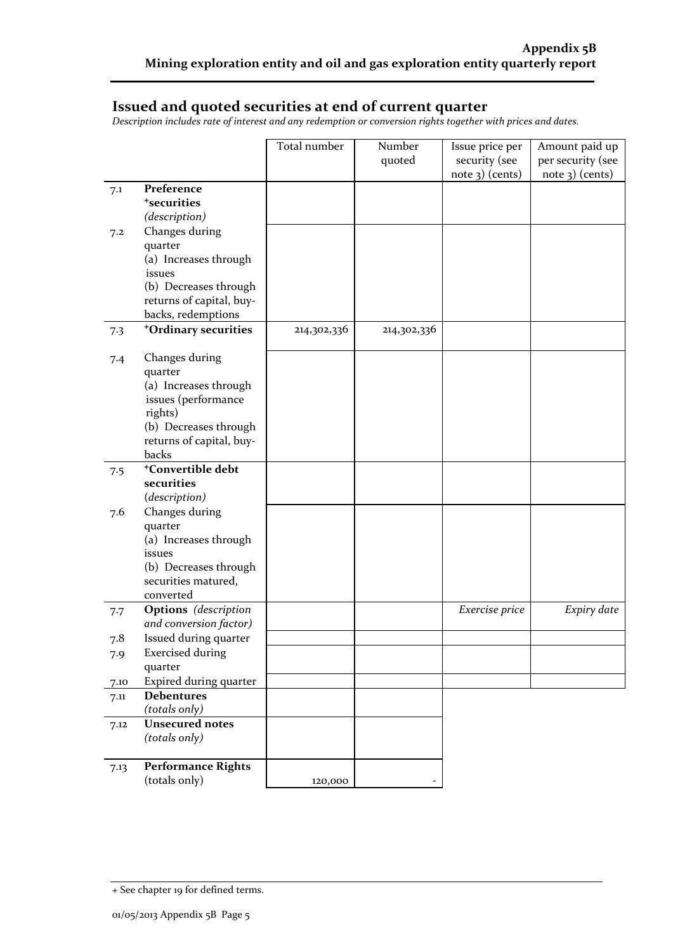### **Issued and quoted securities at end of current quarter**

*Description includes rate of interest and any redemption or conversion rights together with prices and dates.*

|      |                                             | Total number | Number      | Issue price per   | Amount paid up    |
|------|---------------------------------------------|--------------|-------------|-------------------|-------------------|
|      |                                             |              | quoted      | security (see     | per security (see |
|      | Preference                                  |              |             | $note$ 3) (cents) | note 3) (cents)   |
| 7.1  | <sup>+</sup> securities                     |              |             |                   |                   |
|      | (description)                               |              |             |                   |                   |
| 7.2  | Changes during                              |              |             |                   |                   |
|      | quarter                                     |              |             |                   |                   |
|      | (a) Increases through                       |              |             |                   |                   |
|      | issues                                      |              |             |                   |                   |
|      | (b) Decreases through                       |              |             |                   |                   |
|      | returns of capital, buy-                    |              |             |                   |                   |
|      | backs, redemptions                          |              |             |                   |                   |
| 7.3  | <sup>+</sup> Ordinary securities            | 214,302,336  | 214,302,336 |                   |                   |
| 7.4  | Changes during                              |              |             |                   |                   |
|      | quarter                                     |              |             |                   |                   |
|      | (a) Increases through                       |              |             |                   |                   |
|      | issues (performance                         |              |             |                   |                   |
|      | rights)<br>(b) Decreases through            |              |             |                   |                   |
|      | returns of capital, buy-                    |              |             |                   |                   |
|      | backs                                       |              |             |                   |                   |
| 7.5  | <sup>+</sup> Convertible debt               |              |             |                   |                   |
|      | securities                                  |              |             |                   |                   |
|      | (description)                               |              |             |                   |                   |
| 7.6  | Changes during                              |              |             |                   |                   |
|      | quarter                                     |              |             |                   |                   |
|      | (a) Increases through<br>issues             |              |             |                   |                   |
|      | (b) Decreases through                       |              |             |                   |                   |
|      | securities matured,                         |              |             |                   |                   |
|      | converted                                   |              |             |                   |                   |
| 7.7  | Options (description                        |              |             | Exercise price    | Expiry date       |
|      | and conversion factor)                      |              |             |                   |                   |
| 7.8  | Issued during quarter                       |              |             |                   |                   |
| 7.9  | <b>Exercised during</b>                     |              |             |                   |                   |
|      | quarter                                     |              |             |                   |                   |
| 7.10 | Expired during quarter<br><b>Debentures</b> |              |             |                   |                   |
| 7.11 | (totals only)                               |              |             |                   |                   |
| 7.12 | <b>Unsecured notes</b>                      |              |             |                   |                   |
|      | (totals only)                               |              |             |                   |                   |
|      |                                             |              |             |                   |                   |
| 7.13 | <b>Performance Rights</b>                   |              |             |                   |                   |
|      | (totals only)                               | 120,000      |             |                   |                   |

<sup>+</sup> See chapter 19 for defined terms.